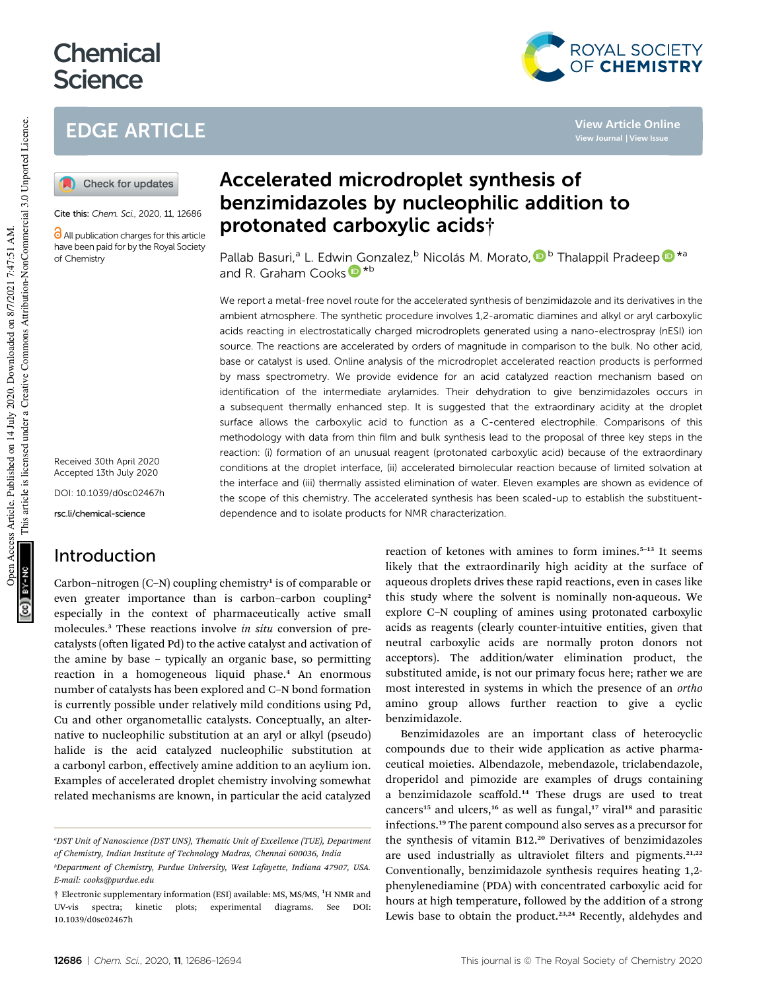# **Chemical Science**

# EDGE ARTICLE



Cite this: Chem. Sci., 2020, 11, 12686

**C** All publication charges for this article have been paid for by the Royal Society of Chemistry

Received 30th April 2020 Accepted 13th July 2020

DOI: 10.1039/d0sc02467h

rsc.li/chemical-science

# Introduction

Carbon-nitrogen (C-N) coupling chemistry<sup>1</sup> is of comparable or even greater importance than is carbon-carbon coupling<sup>2</sup> especially in the context of pharmaceutically active small molecules.<sup>3</sup> These reactions involve *in situ* conversion of precatalysts (often ligated Pd) to the active catalyst and activation of the amine by base – typically an organic base, so permitting reaction in a homogeneous liquid phase.<sup>4</sup> An enormous number of catalysts has been explored and C–N bond formation is currently possible under relatively mild conditions using Pd, Cu and other organometallic catalysts. Conceptually, an alternative to nucleophilic substitution at an aryl or alkyl (pseudo) halide is the acid catalyzed nucleophilic substitution at a carbonyl carbon, effectively amine addition to an acylium ion. Examples of accelerated droplet chemistry involving somewhat related mechanisms are known, in particular the acid catalyzed

# Accelerated microdroplet synthesis of benzimidazoles by nucleophilic addition to protonated carboxylic acids†

Pallab Basuri,<sup>a</sup> L. Edwin Gonzalez,<sup>b</sup> Nicolás M. Morato, D <sup>b</sup> Thalappil Pradeep D \*<sup>a</sup> and R. Graham Cooks<sup>D\*b</sup>

We report a metal-free novel route for the accelerated synthesis of benzimidazole and its derivatives in the ambient atmosphere. The synthetic procedure involves 1,2-aromatic diamines and alkyl or aryl carboxylic acids reacting in electrostatically charged microdroplets generated using a nano-electrospray (nESI) ion source. The reactions are accelerated by orders of magnitude in comparison to the bulk. No other acid, base or catalyst is used. Online analysis of the microdroplet accelerated reaction products is performed by mass spectrometry. We provide evidence for an acid catalyzed reaction mechanism based on identification of the intermediate arylamides. Their dehydration to give benzimidazoles occurs in a subsequent thermally enhanced step. It is suggested that the extraordinary acidity at the droplet surface allows the carboxylic acid to function as a C-centered electrophile. Comparisons of this methodology with data from thin film and bulk synthesis lead to the proposal of three key steps in the reaction: (i) formation of an unusual reagent (protonated carboxylic acid) because of the extraordinary conditions at the droplet interface, (ii) accelerated bimolecular reaction because of limited solvation at the interface and (iii) thermally assisted elimination of water. Eleven examples are shown as evidence of the scope of this chemistry. The accelerated synthesis has been scaled-up to establish the substituentdependence and to isolate products for NMR characterization.

> reaction of ketones with amines to form imines.<sup>5-13</sup> It seems likely that the extraordinarily high acidity at the surface of aqueous droplets drives these rapid reactions, even in cases like this study where the solvent is nominally non-aqueous. We explore C–N coupling of amines using protonated carboxylic acids as reagents (clearly counter-intuitive entities, given that neutral carboxylic acids are normally proton donors not acceptors). The addition/water elimination product, the substituted amide, is not our primary focus here; rather we are most interested in systems in which the presence of an *ortho* amino group allows further reaction to give a cyclic benzimidazole.

> Benzimidazoles are an important class of heterocyclic compounds due to their wide application as active pharmaceutical moieties. Albendazole, mebendazole, triclabendazole, droperidol and pimozide are examples of drugs containing a benzimidazole scaffold.<sup>14</sup> These drugs are used to treat cancers<sup>15</sup> and ulcers,<sup>16</sup> as well as fungal,<sup>17</sup> viral<sup>18</sup> and parasitic infections.<sup>19</sup> The parent compound also serves as a precursor for the synthesis of vitamin B12.<sup>20</sup> Derivatives of benzimidazoles are used industrially as ultraviolet filters and pigments. $21,22$ Conventionally, benzimidazole synthesis requires heating 1,2 phenylenediamine (PDA) with concentrated carboxylic acid for hours at high temperature, followed by the addition of a strong Lewis base to obtain the product.<sup>23,24</sup> Recently, aldehydes and

**CG** 8Y-NO



**View Article Online**

*<sup>a</sup>DST Unit of Nanoscience (DST UNS), Thematic Unit of Excellence (TUE), Department of Chemistry, Indian Institute of Technology Madras, Chennai 600036, India*

*<sup>b</sup>Department of Chemistry, Purdue University, West Lafayette, Indiana 47907, USA. E-mail: cooks@purdue.edu*

<sup>†</sup> Electronic supplementary information (ESI) available: MS, MS/MS, <sup>1</sup>H NMR and UV-vis spectra; kinetic plots; experimental diagrams. See DOI: 10.1039/d0sc02467h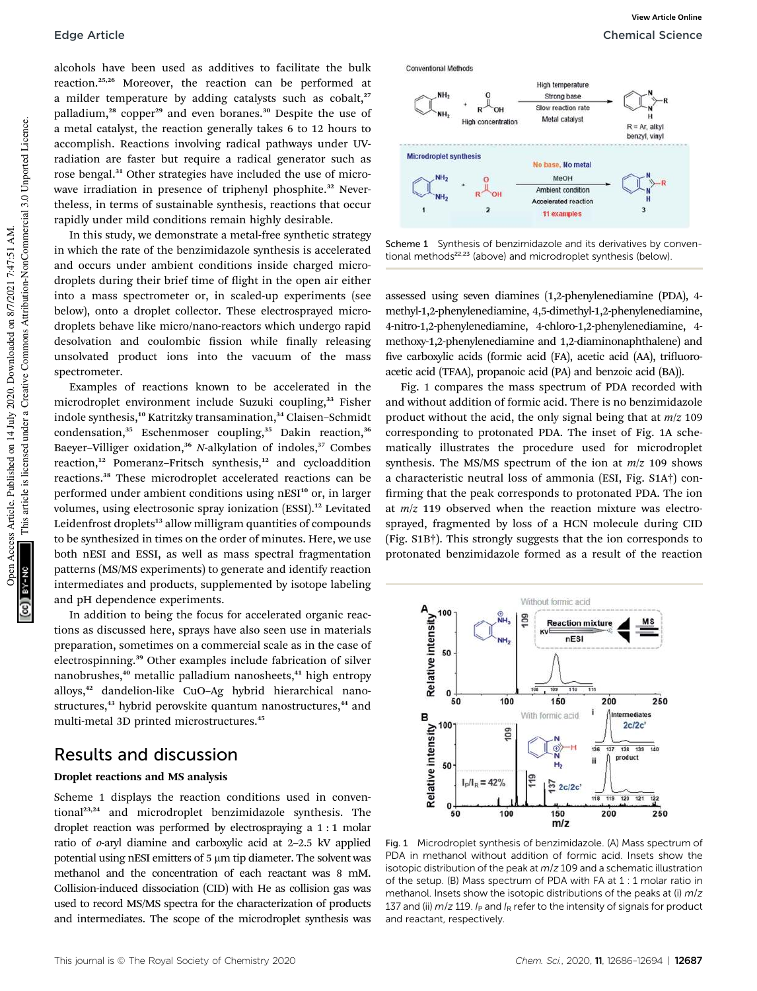alcohols have been used as additives to facilitate the bulk reaction.25,26 Moreover, the reaction can be performed at a milder temperature by adding catalysts such as cobalt,<sup>27</sup> palladium,<sup>28</sup> copper<sup>29</sup> and even boranes.<sup>30</sup> Despite the use of a metal catalyst, the reaction generally takes 6 to 12 hours to accomplish. Reactions involving radical pathways under UVradiation are faster but require a radical generator such as rose bengal.<sup>31</sup> Other strategies have included the use of microwave irradiation in presence of triphenyl phosphite.<sup>32</sup> Nevertheless, in terms of sustainable synthesis, reactions that occur rapidly under mild conditions remain highly desirable.

In this study, we demonstrate a metal-free synthetic strategy in which the rate of the benzimidazole synthesis is accelerated and occurs under ambient conditions inside charged microdroplets during their brief time of flight in the open air either into a mass spectrometer or, in scaled-up experiments (see below), onto a droplet collector. These electrosprayed microdroplets behave like micro/nano-reactors which undergo rapid desolvation and coulombic fission while finally releasing unsolvated product ions into the vacuum of the mass spectrometer.

Examples of reactions known to be accelerated in the microdroplet environment include Suzuki coupling,<sup>33</sup> Fisher indole synthesis,<sup>10</sup> Katritzky transamination,<sup>34</sup> Claisen-Schmidt condensation,<sup>35</sup> Eschenmoser coupling,<sup>35</sup> Dakin reaction,<sup>36</sup> Baeyer-Villiger oxidation,<sup>36</sup> *N*-alkylation of indoles,<sup>37</sup> Combes reaction,<sup>12</sup> Pomeranz-Fritsch synthesis,<sup>12</sup> and cycloaddition reactions.<sup>38</sup> These microdroplet accelerated reactions can be performed under ambient conditions using nESI<sup>10</sup> or, in larger volumes, using electrosonic spray ionization (ESSI).<sup>12</sup> Levitated Leidenfrost droplets<sup>13</sup> allow milligram quantities of compounds to be synthesized in times on the order of minutes. Here, we use both nESI and ESSI, as well as mass spectral fragmentation patterns (MS/MS experiments) to generate and identify reaction intermediates and products, supplemented by isotope labeling and pH dependence experiments.

In addition to being the focus for accelerated organic reactions as discussed here, sprays have also seen use in materials preparation, sometimes on a commercial scale as in the case of electrospinning.<sup>39</sup> Other examples include fabrication of silver nanobrushes,<sup>40</sup> metallic palladium nanosheets,<sup>41</sup> high entropy alloys,<sup>42</sup> dandelion-like CuO–Ag hybrid hierarchical nanostructures,<sup>43</sup> hybrid perovskite quantum nanostructures,<sup>44</sup> and multi-metal 3D printed microstructures.<sup>45</sup>

## Results and discussion

### Droplet reactions and MS analysis

Scheme 1 displays the reaction conditions used in conventional23,24 and microdroplet benzimidazole synthesis. The droplet reaction was performed by electrospraying a 1 : 1 molar ratio of *o*-aryl diamine and carboxylic acid at 2–2.5 kV applied potential using nESI emitters of  $5 \mu m$  tip diameter. The solvent was methanol and the concentration of each reactant was 8 mM. Collision-induced dissociation (CID) with He as collision gas was used to record MS/MS spectra for the characterization of products and intermediates. The scope of the microdroplet synthesis was



Scheme 1 Synthesis of benzimidazole and its derivatives by conventional methods<sup>22,23</sup> (above) and microdroplet synthesis (below).

assessed using seven diamines (1,2-phenylenediamine (PDA), 4 methyl-1,2-phenylenediamine, 4,5-dimethyl-1,2-phenylenediamine, 4-nitro-1,2-phenylenediamine, 4-chloro-1,2-phenylenediamine, 4 methoxy-1,2-phenylenediamine and 1,2-diaminonaphthalene) and five carboxylic acids (formic acid (FA), acetic acid (AA), trifluoroacetic acid (TFAA), propanoic acid (PA) and benzoic acid (BA)).

Fig. 1 compares the mass spectrum of PDA recorded with and without addition of formic acid. There is no benzimidazole product without the acid, the only signal being that at *m*/*z* 109 corresponding to protonated PDA. The inset of Fig. 1A schematically illustrates the procedure used for microdroplet synthesis. The MS/MS spectrum of the ion at *m*/*z* 109 shows a characteristic neutral loss of ammonia (ESI, Fig. S1A†) con firming that the peak corresponds to protonated PDA. The ion at *m*/*z* 119 observed when the reaction mixture was electrosprayed, fragmented by loss of a HCN molecule during CID (Fig. S1B†). This strongly suggests that the ion corresponds to protonated benzimidazole formed as a result of the reaction



Fig. 1 Microdroplet synthesis of benzimidazole. (A) Mass spectrum of PDA in methanol without addition of formic acid. Insets show the isotopic distribution of the peak at  $m/z$  109 and a schematic illustration of the setup. (B) Mass spectrum of PDA with FA at 1 : 1 molar ratio in methanol. Insets show the isotopic distributions of the peaks at  $(i)$  m/z 137 and (ii)  $m/z$  119. I<sub>P</sub> and I<sub>R</sub> refer to the intensity of signals for product and reactant, respectively.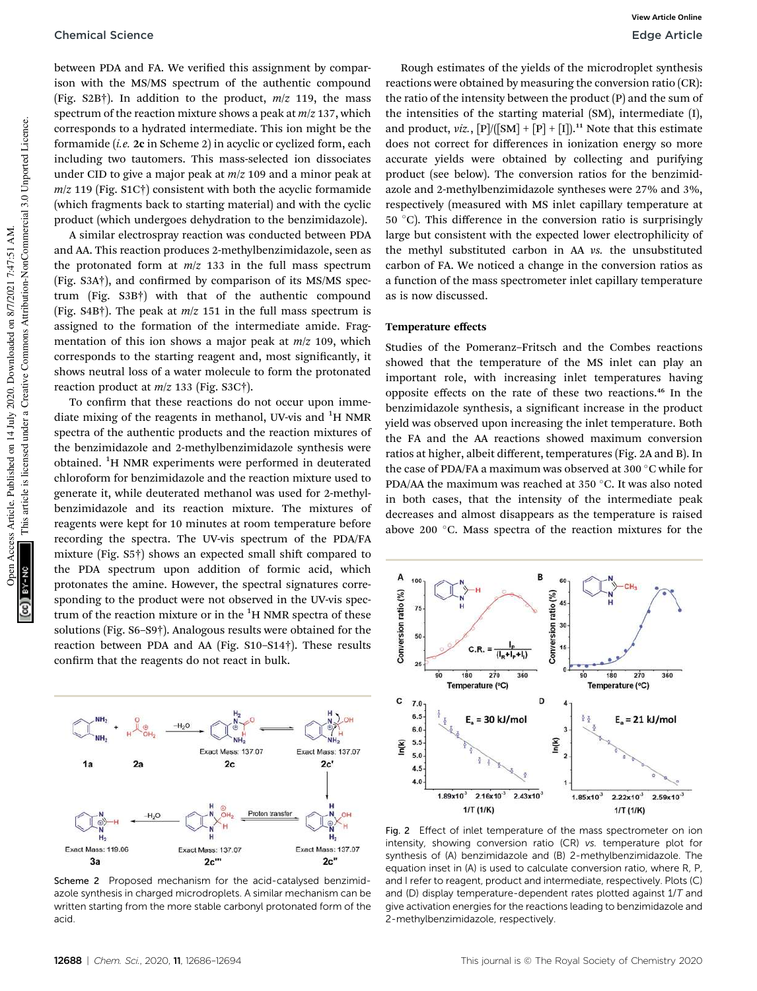#### Chemical Science **Edge Article**

between PDA and FA. We verified this assignment by comparison with the MS/MS spectrum of the authentic compound (Fig. S2B†). In addition to the product, *m*/*z* 119, the mass spectrum of the reaction mixture shows a peak at *m*/*z* 137, which corresponds to a hydrated intermediate. This ion might be the formamide (*i.e.* 2c in Scheme 2) in acyclic or cyclized form, each including two tautomers. This mass-selected ion dissociates under CID to give a major peak at *m*/*z* 109 and a minor peak at *m*/*z* 119 (Fig. S1C†) consistent with both the acyclic formamide (which fragments back to starting material) and with the cyclic product (which undergoes dehydration to the benzimidazole).

A similar electrospray reaction was conducted between PDA and AA. This reaction produces 2-methylbenzimidazole, seen as the protonated form at *m*/*z* 133 in the full mass spectrum  $(Fig. S3A<sup>†</sup>)$ , and confirmed by comparison of its MS/MS spectrum (Fig. S3B†) with that of the authentic compound (Fig. S4B†). The peak at *m*/*z* 151 in the full mass spectrum is assigned to the formation of the intermediate amide. Fragmentation of this ion shows a major peak at *m*/*z* 109, which corresponds to the starting reagent and, most signicantly, it shows neutral loss of a water molecule to form the protonated reaction product at *m*/*z* 133 (Fig. S3C†).

To confirm that these reactions do not occur upon immediate mixing of the reagents in methanol, UV-vis and <sup>1</sup>H NMR spectra of the authentic products and the reaction mixtures of the benzimidazole and 2-methylbenzimidazole synthesis were obtained. <sup>1</sup>H NMR experiments were performed in deuterated chloroform for benzimidazole and the reaction mixture used to generate it, while deuterated methanol was used for 2-methylbenzimidazole and its reaction mixture. The mixtures of reagents were kept for 10 minutes at room temperature before recording the spectra. The UV-vis spectrum of the PDA/FA mixture (Fig.  $S5\dagger$ ) shows an expected small shift compared to the PDA spectrum upon addition of formic acid, which protonates the amine. However, the spectral signatures corresponding to the product were not observed in the UV-vis spectrum of the reaction mixture or in the  ${}^{1}$ H NMR spectra of these solutions (Fig. S6–S9†). Analogous results were obtained for the reaction between PDA and AA (Fig. S10–S14†). These results confirm that the reagents do not react in bulk.



Scheme 2 Proposed mechanism for the acid-catalysed benzimidazole synthesis in charged microdroplets. A similar mechanism can be written starting from the more stable carbonyl protonated form of the acid.

Rough estimates of the yields of the microdroplet synthesis reactions were obtained by measuring the conversion ratio (CR): the ratio of the intensity between the product (P) and the sum of the intensities of the starting material (SM), intermediate (I), and product, *viz.*,  $[P]/([SM] + [P] + [I])$ .<sup>11</sup> Note that this estimate does not correct for differences in ionization energy so more accurate yields were obtained by collecting and purifying product (see below). The conversion ratios for the benzimidazole and 2-methylbenzimidazole syntheses were 27% and 3%, respectively (measured with MS inlet capillary temperature at  $50^{\circ}$ C). This difference in the conversion ratio is surprisingly large but consistent with the expected lower electrophilicity of the methyl substituted carbon in AA *vs.* the unsubstituted carbon of FA. We noticed a change in the conversion ratios as a function of the mass spectrometer inlet capillary temperature as is now discussed.

#### Temperature effects

Studies of the Pomeranz–Fritsch and the Combes reactions showed that the temperature of the MS inlet can play an important role, with increasing inlet temperatures having opposite effects on the rate of these two reactions.<sup>46</sup> In the benzimidazole synthesis, a significant increase in the product yield was observed upon increasing the inlet temperature. Both the FA and the AA reactions showed maximum conversion ratios at higher, albeit different, temperatures (Fig. 2A and B). In the case of PDA/FA a maximum was observed at 300 $\degree$ C while for PDA/AA the maximum was reached at 350 $\degree$ C. It was also noted in both cases, that the intensity of the intermediate peak decreases and almost disappears as the temperature is raised above 200  $^{\circ}$ C. Mass spectra of the reaction mixtures for the



Fig. 2 Effect of inlet temperature of the mass spectrometer on ion intensity, showing conversion ratio (CR) vs. temperature plot for synthesis of (A) benzimidazole and (B) 2-methylbenzimidazole. The equation inset in (A) is used to calculate conversion ratio, where R, P, and I refer to reagent, product and intermediate, respectively. Plots (C) and (D) display temperature-dependent rates plotted against  $1/T$  and give activation energies for the reactions leading to benzimidazole and 2-methylbenzimidazole, respectively.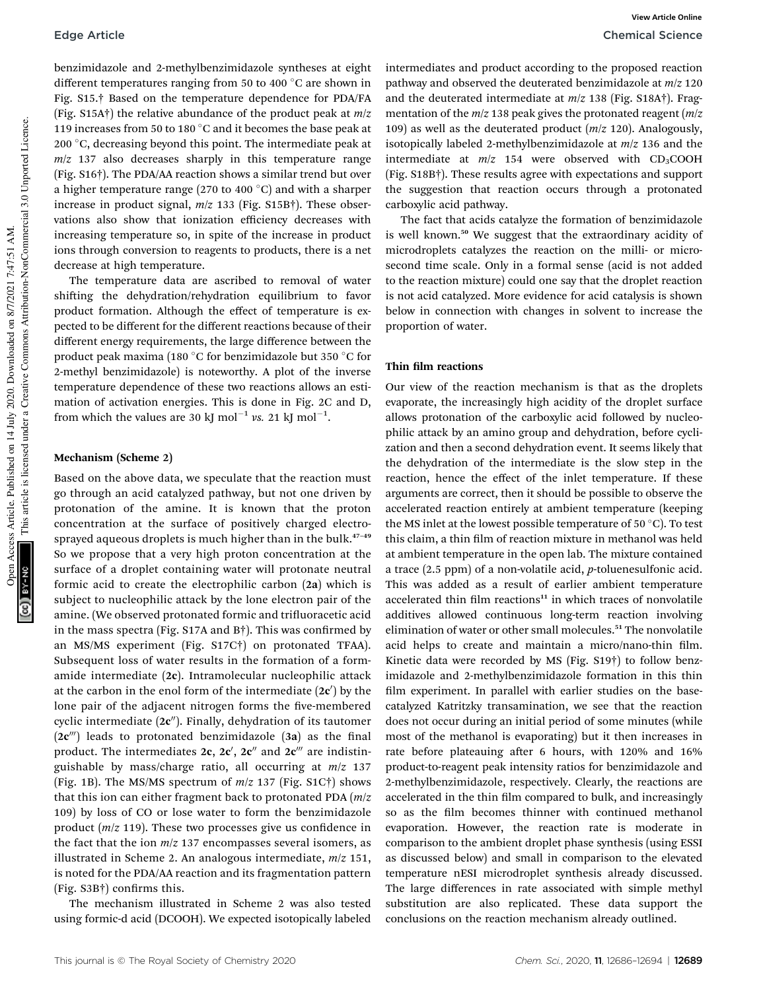benzimidazole and 2-methylbenzimidazole syntheses at eight different temperatures ranging from 50 to 400  $^{\circ}$ C are shown in Fig. S15.† Based on the temperature dependence for PDA/FA (Fig. S15A†) the relative abundance of the product peak at *m*/*z* 119 increases from 50 to 180  $\degree$ C and it becomes the base peak at 200  $\degree$ C, decreasing beyond this point. The intermediate peak at *m*/*z* 137 also decreases sharply in this temperature range (Fig. S16†). The PDA/AA reaction shows a similar trend but over a higher temperature range (270 to 400  $^{\circ}$ C) and with a sharper increase in product signal, *m*/*z* 133 (Fig. S15B†). These observations also show that ionization efficiency decreases with increasing temperature so, in spite of the increase in product ions through conversion to reagents to products, there is a net decrease at high temperature.

The temperature data are ascribed to removal of water shifting the dehydration/rehydration equilibrium to favor product formation. Although the effect of temperature is expected to be different for the different reactions because of their different energy requirements, the large difference between the product peak maxima (180 $\degree$ C for benzimidazole but 350 $\degree$ C for 2-methyl benzimidazole) is noteworthy. A plot of the inverse temperature dependence of these two reactions allows an estimation of activation energies. This is done in Fig. 2C and D, from which the values are 30 kJ mol<sup>-1</sup> vs. 21 kJ mol<sup>-1</sup>.

#### Mechanism (Scheme 2)

Based on the above data, we speculate that the reaction must go through an acid catalyzed pathway, but not one driven by protonation of the amine. It is known that the proton concentration at the surface of positively charged electrosprayed aqueous droplets is much higher than in the bulk.<sup>47-49</sup> So we propose that a very high proton concentration at the surface of a droplet containing water will protonate neutral formic acid to create the electrophilic carbon (2a) which is subject to nucleophilic attack by the lone electron pair of the amine. (We observed protonated formic and trifluoracetic acid in the mass spectra (Fig. S17A and B $\dagger$ ). This was confirmed by an MS/MS experiment (Fig. S17C†) on protonated TFAA). Subsequent loss of water results in the formation of a formamide intermediate (2c). Intramolecular nucleophilic attack at the carbon in the enol form of the intermediate  $(2c')$  by the lone pair of the adjacent nitrogen forms the five-membered cyclic intermediate  $(2c'')$ . Finally, dehydration of its tautomer  $(2c<sup>'''</sup>)$  leads to protonated benzimidazole  $(3a)$  as the final product. The intermediates 2c, 2c', 2c" and 2c<sup>'''</sup> are indistinguishable by mass/charge ratio, all occurring at *m*/*z* 137 (Fig. 1B). The MS/MS spectrum of *m*/*z* 137 (Fig. S1C†) shows that this ion can either fragment back to protonated PDA (*m*/*z* 109) by loss of CO or lose water to form the benzimidazole product  $(m/z 119)$ . These two processes give us confidence in the fact that the ion *m*/*z* 137 encompasses several isomers, as illustrated in Scheme 2. An analogous intermediate, *m*/*z* 151, is noted for the PDA/AA reaction and its fragmentation pattern  $(Fig. S3B\dagger)$  confirms this.

The mechanism illustrated in Scheme 2 was also tested using formic-d acid (DCOOH). We expected isotopically labeled

intermediates and product according to the proposed reaction pathway and observed the deuterated benzimidazole at *m*/*z* 120 and the deuterated intermediate at *m*/*z* 138 (Fig. S18A†). Fragmentation of the *m*/*z* 138 peak gives the protonated reagent (*m*/*z* 109) as well as the deuterated product (*m*/*z* 120). Analogously, isotopically labeled 2-methylbenzimidazole at *m*/*z* 136 and the intermediate at  $m/z$  154 were observed with  $CD_3COOH$ (Fig. S18B†). These results agree with expectations and support the suggestion that reaction occurs through a protonated carboxylic acid pathway.

The fact that acids catalyze the formation of benzimidazole is well known.<sup>50</sup> We suggest that the extraordinary acidity of microdroplets catalyzes the reaction on the milli- or microsecond time scale. Only in a formal sense (acid is not added to the reaction mixture) could one say that the droplet reaction is not acid catalyzed. More evidence for acid catalysis is shown below in connection with changes in solvent to increase the proportion of water.

#### Thin film reactions

Our view of the reaction mechanism is that as the droplets evaporate, the increasingly high acidity of the droplet surface allows protonation of the carboxylic acid followed by nucleophilic attack by an amino group and dehydration, before cyclization and then a second dehydration event. It seems likely that the dehydration of the intermediate is the slow step in the reaction, hence the effect of the inlet temperature. If these arguments are correct, then it should be possible to observe the accelerated reaction entirely at ambient temperature (keeping the MS inlet at the lowest possible temperature of  $50^{\circ}$ C). To test this claim, a thin film of reaction mixture in methanol was held at ambient temperature in the open lab. The mixture contained a trace (2.5 ppm) of a non-volatile acid, *p*-toluenesulfonic acid. This was added as a result of earlier ambient temperature accelerated thin film reactions $11$  in which traces of nonvolatile additives allowed continuous long-term reaction involving elimination of water or other small molecules.<sup>51</sup> The nonvolatile acid helps to create and maintain a micro/nano-thin film. Kinetic data were recorded by MS (Fig. S19†) to follow benzimidazole and 2-methylbenzimidazole formation in this thin film experiment. In parallel with earlier studies on the basecatalyzed Katritzky transamination, we see that the reaction does not occur during an initial period of some minutes (while most of the methanol is evaporating) but it then increases in rate before plateauing after  $6$  hours, with  $120\%$  and  $16\%$ product-to-reagent peak intensity ratios for benzimidazole and 2-methylbenzimidazole, respectively. Clearly, the reactions are accelerated in the thin film compared to bulk, and increasingly so as the film becomes thinner with continued methanol evaporation. However, the reaction rate is moderate in comparison to the ambient droplet phase synthesis (using ESSI as discussed below) and small in comparison to the elevated temperature nESI microdroplet synthesis already discussed. The large differences in rate associated with simple methyl substitution are also replicated. These data support the conclusions on the reaction mechanism already outlined.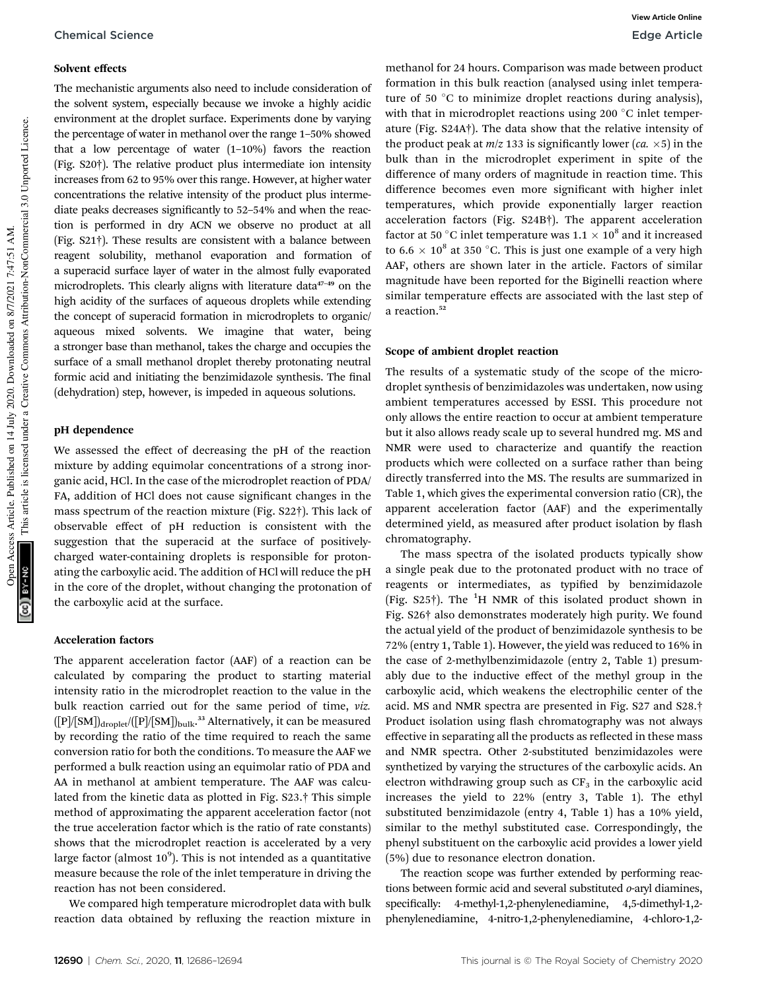#### Solvent effects

The mechanistic arguments also need to include consideration of the solvent system, especially because we invoke a highly acidic environment at the droplet surface. Experiments done by varying the percentage of water in methanol over the range 1–50% showed that a low percentage of water (1–10%) favors the reaction (Fig. S20†). The relative product plus intermediate ion intensity increases from 62 to 95% over this range. However, at higher water concentrations the relative intensity of the product plus intermediate peaks decreases significantly to 52-54% and when the reaction is performed in dry ACN we observe no product at all (Fig. S21†). These results are consistent with a balance between reagent solubility, methanol evaporation and formation of a superacid surface layer of water in the almost fully evaporated microdroplets. This clearly aligns with literature data<sup>47-49</sup> on the high acidity of the surfaces of aqueous droplets while extending the concept of superacid formation in microdroplets to organic/ aqueous mixed solvents. We imagine that water, being a stronger base than methanol, takes the charge and occupies the surface of a small methanol droplet thereby protonating neutral formic acid and initiating the benzimidazole synthesis. The final (dehydration) step, however, is impeded in aqueous solutions.

#### pH dependence

We assessed the effect of decreasing the pH of the reaction mixture by adding equimolar concentrations of a strong inorganic acid, HCl. In the case of the microdroplet reaction of PDA/ FA, addition of HCl does not cause significant changes in the mass spectrum of the reaction mixture (Fig. S22†). This lack of observable effect of pH reduction is consistent with the suggestion that the superacid at the surface of positivelycharged water-containing droplets is responsible for protonating the carboxylic acid. The addition of HCl will reduce the pH in the core of the droplet, without changing the protonation of the carboxylic acid at the surface.

#### Acceleration factors

The apparent acceleration factor (AAF) of a reaction can be calculated by comparing the product to starting material intensity ratio in the microdroplet reaction to the value in the bulk reaction carried out for the same period of time, *viz.* ([P]/[SM])<sub>droplet</sub>/([P]/[SM])<sub>bulk</sub>.<sup>33</sup> Alternatively, it can be measured by recording the ratio of the time required to reach the same conversion ratio for both the conditions. To measure the AAF we performed a bulk reaction using an equimolar ratio of PDA and AA in methanol at ambient temperature. The AAF was calculated from the kinetic data as plotted in Fig. S23.† This simple method of approximating the apparent acceleration factor (not the true acceleration factor which is the ratio of rate constants) shows that the microdroplet reaction is accelerated by a very large factor (almost  $10^9$ ). This is not intended as a quantitative measure because the role of the inlet temperature in driving the reaction has not been considered.

We compared high temperature microdroplet data with bulk reaction data obtained by refluxing the reaction mixture in methanol for 24 hours. Comparison was made between product formation in this bulk reaction (analysed using inlet temperature of 50  $\degree$ C to minimize droplet reactions during analysis), with that in microdroplet reactions using 200  $\degree$ C inlet temperature (Fig. S24A†). The data show that the relative intensity of the product peak at  $m/z$  133 is significantly lower (*ca.*  $\times$ 5) in the bulk than in the microdroplet experiment in spite of the difference of many orders of magnitude in reaction time. This difference becomes even more significant with higher inlet temperatures, which provide exponentially larger reaction acceleration factors (Fig. S24B†). The apparent acceleration factor at 50 °C inlet temperature was 1.1  $\times$  10 $^{8}$  and it increased to  $6.6 \times 10^8$  at 350 °C. This is just one example of a very high AAF, others are shown later in the article. Factors of similar magnitude have been reported for the Biginelli reaction where similar temperature effects are associated with the last step of a reaction.<sup>52</sup>

#### Scope of ambient droplet reaction

The results of a systematic study of the scope of the microdroplet synthesis of benzimidazoles was undertaken, now using ambient temperatures accessed by ESSI. This procedure not only allows the entire reaction to occur at ambient temperature but it also allows ready scale up to several hundred mg. MS and NMR were used to characterize and quantify the reaction products which were collected on a surface rather than being directly transferred into the MS. The results are summarized in Table 1, which gives the experimental conversion ratio (CR), the apparent acceleration factor (AAF) and the experimentally determined yield, as measured after product isolation by flash chromatography.

The mass spectra of the isolated products typically show a single peak due to the protonated product with no trace of reagents or intermediates, as typified by benzimidazole (Fig.  $S25\text{*}$ ). The <sup>1</sup>H NMR of this isolated product shown in Fig. S26† also demonstrates moderately high purity. We found the actual yield of the product of benzimidazole synthesis to be 72% (entry 1, Table 1). However, the yield was reduced to 16% in the case of 2-methylbenzimidazole (entry 2, Table 1) presumably due to the inductive effect of the methyl group in the carboxylic acid, which weakens the electrophilic center of the acid. MS and NMR spectra are presented in Fig. S27 and S28.† Product isolation using flash chromatography was not always effective in separating all the products as reflected in these mass and NMR spectra. Other 2-substituted benzimidazoles were synthetized by varying the structures of the carboxylic acids. An electron withdrawing group such as  $CF<sub>3</sub>$  in the carboxylic acid increases the yield to 22% (entry 3, Table 1). The ethyl substituted benzimidazole (entry 4, Table 1) has a 10% yield, similar to the methyl substituted case. Correspondingly, the phenyl substituent on the carboxylic acid provides a lower yield (5%) due to resonance electron donation.

The reaction scope was further extended by performing reactions between formic acid and several substituted *o*-aryl diamines, specifically: 4-methyl-1,2-phenylenediamine, 4,5-dimethyl-1,2phenylenediamine, 4-nitro-1,2-phenylenediamine, 4-chloro-1,2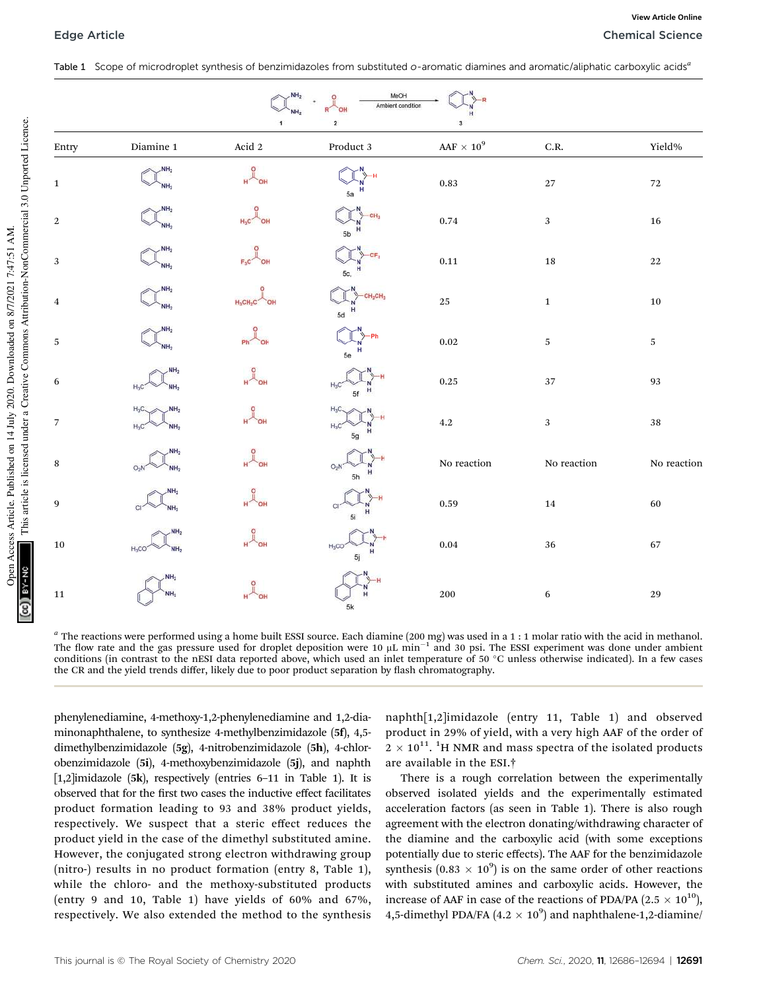Table 1 Scope of microdroplet synthesis of benzimidazoles from substituted o-aromatic diamines and aromatic/aliphatic carboxylic acids*<sup>a</sup>*

| MeOH<br>NH <sub>2</sub><br>Ambient condition<br>$\overline{\mathbf{2}}$<br>$\mathbf{1}$<br>3 |                                               |                 |                                       |                         |                   |             |
|----------------------------------------------------------------------------------------------|-----------------------------------------------|-----------------|---------------------------------------|-------------------------|-------------------|-------------|
| Entry                                                                                        | $\mathop{\mathrm{Diamine}}$ 1                 | Acid $\sqrt{2}$ | $Product\ 3$                          | $\text{AAF}\times 10^9$ | $_{\rm C.R.}$     | Yield%      |
| $\,1\,$                                                                                      | NH <sub>2</sub><br>NH <sub>2</sub>            |                 | 5a                                    | $\rm 0.83$              | $27\,$            | $72\,$      |
| $\,2$                                                                                        | NH <sub>2</sub><br>NH <sub>2</sub>            |                 | 5b                                    | $0.74\,$                | $\sqrt{3}$        | $16\,$      |
| $\sqrt{3}$                                                                                   | NH <sub>2</sub>                               |                 | 5с,                                   | $\mathbf{0.11}$         | $18\,$            | $22\,$      |
| $\overline{4}$                                                                               | NH <sub>2</sub>                               | $H_2CH_2C$      | CH <sub>2</sub> CH <sub>1</sub><br>5d | $25\,$                  | $\mathbf 1$       | ${\bf 10}$  |
| $\sqrt{5}$                                                                                   | NH <sub>2</sub><br>NH <sub>2</sub>            |                 | 5e                                    | $\rm 0.02$              | $\,$ 5 $\,$       | $\,$ 5 $\,$ |
| $\,6\,$                                                                                      | NH <sub>2</sub><br>$H_3C$<br>NH <sub>2</sub>  |                 | 5f                                    | $\rm 0.25$              | 37                | $\bf 93$    |
| $\overline{7}$                                                                               | $H_3C$<br>NH <sub>2</sub>                     |                 | H <sub>2</sub> C<br>5g                | $4.2\,$                 | $\sqrt{3}$        | $38\,$      |
| $\, 8$                                                                                       | $O_2N$                                        |                 | O <sub>2</sub><br>н<br>5h             | No reaction             | $\rm No$ reaction | No reaction |
| 9                                                                                            | NH <sub>2</sub><br>NH <sub>2</sub>            |                 | 5i                                    | $\rm 0.59$              | $\bf{14}$         | $60\,$      |
| $10\,$                                                                                       | NH <sub>2</sub><br>$H_3CO$<br>NH <sub>2</sub> |                 | $H_3CO$<br>5j                         | $\,0.04\,$              | $36\,$            | $67\,$      |
| $11\,$                                                                                       | NH <sub>2</sub><br>NH <sub>2</sub>            |                 | 5k                                    | $200\,$                 | $\,6\,$           | 29          |

*a* The reactions were performed using a home built ESSI source. Each diamine (200 mg) was used in a 1 : 1 molar ratio with the acid in methanol. The flow rate and the gas pressure used for droplet deposition were  $10 \mu L \text{ min}^{-1}$  and 30 psi. The ESSI experiment was done under ambient conditions (in contrast to the nESI data reported above, which used an inlet temperature of 50 °C unless otherwise indicated). In a few cases the CR and the yield trends differ, likely due to poor product separation by flash chromatography.

phenylenediamine, 4-methoxy-1,2-phenylenediamine and 1,2-diaminonaphthalene, to synthesize 4-methylbenzimidazole (5f), 4,5 dimethylbenzimidazole (5g), 4-nitrobenzimidazole (5h), 4-chlorobenzimidazole (5i), 4-methoxybenzimidazole (5j), and naphth [1,2]imidazole (5k), respectively (entries 6–11 in Table 1). It is observed that for the first two cases the inductive effect facilitates product formation leading to 93 and 38% product yields, respectively. We suspect that a steric effect reduces the product yield in the case of the dimethyl substituted amine. However, the conjugated strong electron withdrawing group (nitro-) results in no product formation (entry 8, Table 1), while the chloro- and the methoxy-substituted products (entry 9 and 10, Table 1) have yields of 60% and 67%, respectively. We also extended the method to the synthesis

naphth[1,2]imidazole (entry 11, Table 1) and observed product in 29% of yield, with a very high AAF of the order of  $2 \times 10^{11}$ . <sup>1</sup>H NMR and mass spectra of the isolated products are available in the ESI.†

There is a rough correlation between the experimentally observed isolated yields and the experimentally estimated acceleration factors (as seen in Table 1). There is also rough agreement with the electron donating/withdrawing character of the diamine and the carboxylic acid (with some exceptions potentially due to steric effects). The AAF for the benzimidazole synthesis  $(0.83 \times 10^9)$  is on the same order of other reactions with substituted amines and carboxylic acids. However, the increase of AAF in case of the reactions of PDA/PA (2.5  $\times$  10<sup>10</sup>), 4,5-dimethyl PDA/FA  $(4.2 \times 10^9)$  and naphthalene-1,2-diamine/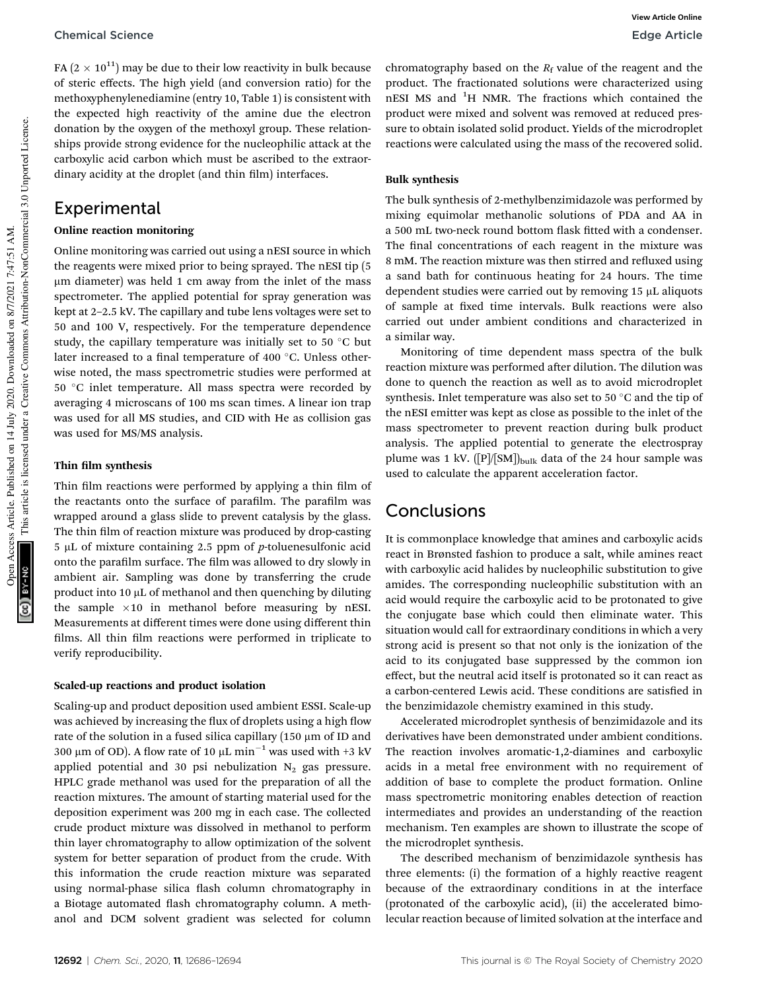#### Chemical Science **Edge Article**

FA ( $2 \times 10^{11}$ ) may be due to their low reactivity in bulk because of steric effects. The high yield (and conversion ratio) for the methoxyphenylenediamine (entry 10, Table 1) is consistent with the expected high reactivity of the amine due the electron donation by the oxygen of the methoxyl group. These relationships provide strong evidence for the nucleophilic attack at the carboxylic acid carbon which must be ascribed to the extraordinary acidity at the droplet (and thin film) interfaces.

### Experimental

#### Online reaction monitoring

Online monitoring was carried out using a nESI source in which the reagents were mixed prior to being sprayed. The nESI tip (5 mm diameter) was held 1 cm away from the inlet of the mass spectrometer. The applied potential for spray generation was kept at 2–2.5 kV. The capillary and tube lens voltages were set to 50 and 100 V, respectively. For the temperature dependence study, the capillary temperature was initially set to 50  $\degree$ C but later increased to a final temperature of 400 °C. Unless otherwise noted, the mass spectrometric studies were performed at 50 °C inlet temperature. All mass spectra were recorded by averaging 4 microscans of 100 ms scan times. A linear ion trap was used for all MS studies, and CID with He as collision gas was used for MS/MS analysis.

#### Thin film synthesis

Thin film reactions were performed by applying a thin film of the reactants onto the surface of parafilm. The parafilm was wrapped around a glass slide to prevent catalysis by the glass. The thin film of reaction mixture was produced by drop-casting 5 mL of mixture containing 2.5 ppm of *p*-toluenesulfonic acid onto the parafilm surface. The film was allowed to dry slowly in ambient air. Sampling was done by transferring the crude product into 10  $\mu$ L of methanol and then quenching by diluting the sample  $\times 10$  in methanol before measuring by nESI. Measurements at different times were done using different thin films. All thin film reactions were performed in triplicate to verify reproducibility.

#### Scaled-up reactions and product isolation

Scaling-up and product deposition used ambient ESSI. Scale-up was achieved by increasing the flux of droplets using a high flow rate of the solution in a fused silica capillary  $(150 \mu m)$  of ID and 300 µm of OD). A flow rate of 10 µL min<sup>-1</sup> was used with +3 kV applied potential and 30 psi nebulization  $N_2$  gas pressure. HPLC grade methanol was used for the preparation of all the reaction mixtures. The amount of starting material used for the deposition experiment was 200 mg in each case. The collected crude product mixture was dissolved in methanol to perform thin layer chromatography to allow optimization of the solvent system for better separation of product from the crude. With this information the crude reaction mixture was separated using normal-phase silica flash column chromatography in a Biotage automated flash chromatography column. A methanol and DCM solvent gradient was selected for column

chromatography based on the  $R_f$  value of the reagent and the product. The fractionated solutions were characterized using nESI MS and <sup>1</sup>H NMR. The fractions which contained the product were mixed and solvent was removed at reduced pressure to obtain isolated solid product. Yields of the microdroplet reactions were calculated using the mass of the recovered solid.

#### Bulk synthesis

The bulk synthesis of 2-methylbenzimidazole was performed by mixing equimolar methanolic solutions of PDA and AA in a 500 mL two-neck round bottom flask fitted with a condenser. The final concentrations of each reagent in the mixture was 8 mM. The reaction mixture was then stirred and refluxed using a sand bath for continuous heating for 24 hours. The time dependent studies were carried out by removing 15 µL aliquots of sample at fixed time intervals. Bulk reactions were also carried out under ambient conditions and characterized in a similar way.

Monitoring of time dependent mass spectra of the bulk reaction mixture was performed after dilution. The dilution was done to quench the reaction as well as to avoid microdroplet synthesis. Inlet temperature was also set to 50 $\degree$ C and the tip of the nESI emitter was kept as close as possible to the inlet of the mass spectrometer to prevent reaction during bulk product analysis. The applied potential to generate the electrospray plume was 1 kV.  $([P]/[SM])_{bulk}$  data of the 24 hour sample was used to calculate the apparent acceleration factor.

# **Conclusions**

It is commonplace knowledge that amines and carboxylic acids react in Brønsted fashion to produce a salt, while amines react with carboxylic acid halides by nucleophilic substitution to give amides. The corresponding nucleophilic substitution with an acid would require the carboxylic acid to be protonated to give the conjugate base which could then eliminate water. This situation would call for extraordinary conditions in which a very strong acid is present so that not only is the ionization of the acid to its conjugated base suppressed by the common ion effect, but the neutral acid itself is protonated so it can react as a carbon-centered Lewis acid. These conditions are satisfied in the benzimidazole chemistry examined in this study.

Accelerated microdroplet synthesis of benzimidazole and its derivatives have been demonstrated under ambient conditions. The reaction involves aromatic-1,2-diamines and carboxylic acids in a metal free environment with no requirement of addition of base to complete the product formation. Online mass spectrometric monitoring enables detection of reaction intermediates and provides an understanding of the reaction mechanism. Ten examples are shown to illustrate the scope of the microdroplet synthesis.

The described mechanism of benzimidazole synthesis has three elements: (i) the formation of a highly reactive reagent because of the extraordinary conditions in at the interface (protonated of the carboxylic acid), (ii) the accelerated bimolecular reaction because of limited solvation at the interface and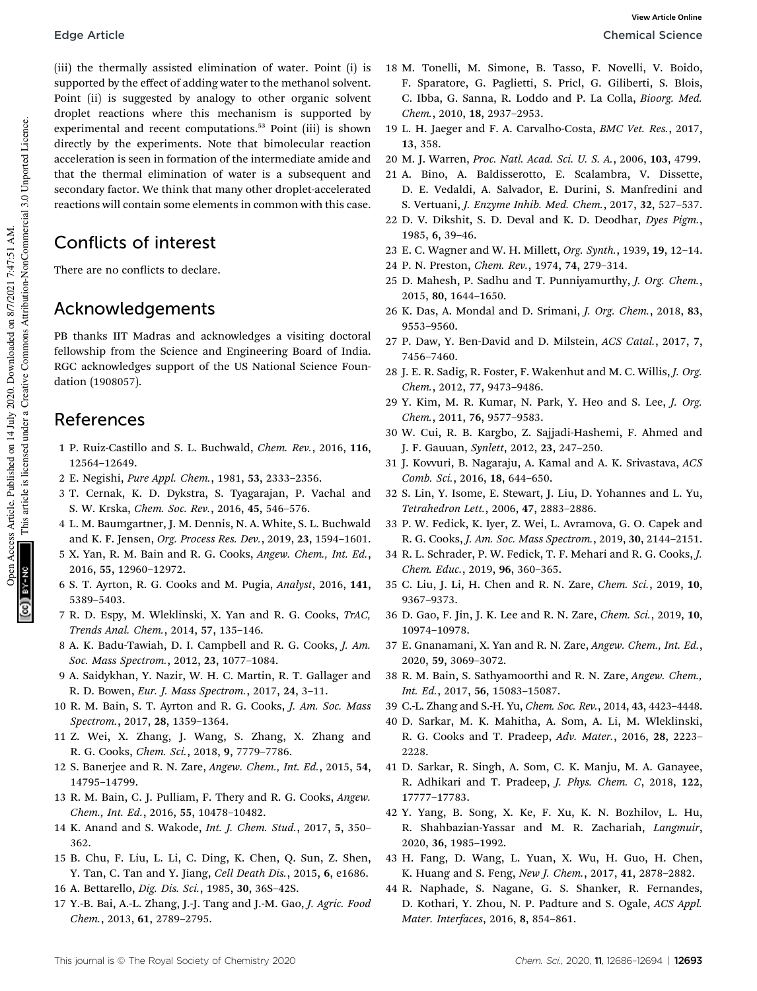(iii) the thermally assisted elimination of water. Point (i) is supported by the effect of adding water to the methanol solvent. Point (ii) is suggested by analogy to other organic solvent droplet reactions where this mechanism is supported by experimental and recent computations.<sup>53</sup> Point (iii) is shown directly by the experiments. Note that bimolecular reaction acceleration is seen in formation of the intermediate amide and that the thermal elimination of water is a subsequent and secondary factor. We think that many other droplet-accelerated reactions will contain some elements in common with this case.

# Conflicts of interest

There are no conflicts to declare.

# Acknowledgements

PB thanks IIT Madras and acknowledges a visiting doctoral fellowship from the Science and Engineering Board of India. RGC acknowledges support of the US National Science Foundation (1908057).

## References

- 1 P. Ruiz-Castillo and S. L. Buchwald, *Chem. Rev.*, 2016, 116, 12564–12649.
- 2 E. Negishi, *Pure Appl. Chem.*, 1981, 53, 2333–2356.
- 3 T. Cernak, K. D. Dykstra, S. Tyagarajan, P. Vachal and S. W. Krska, *Chem. Soc. Rev.*, 2016, 45, 546–576.
- 4 L. M. Baumgartner, J. M. Dennis, N. A. White, S. L. Buchwald and K. F. Jensen, *Org. Process Res. Dev.*, 2019, 23, 1594–1601.
- 5 X. Yan, R. M. Bain and R. G. Cooks, *Angew. Chem., Int. Ed.*, 2016, 55, 12960–12972.
- 6 S. T. Ayrton, R. G. Cooks and M. Pugia, *Analyst*, 2016, 141, 5389–5403.
- 7 R. D. Espy, M. Wleklinski, X. Yan and R. G. Cooks, *TrAC, Trends Anal. Chem.*, 2014, 57, 135–146.
- 8 A. K. Badu-Tawiah, D. I. Campbell and R. G. Cooks, *J. Am. Soc. Mass Spectrom.*, 2012, 23, 1077–1084.
- 9 A. Saidykhan, Y. Nazir, W. H. C. Martin, R. T. Gallager and R. D. Bowen, *Eur. J. Mass Spectrom.*, 2017, 24, 3–11.
- 10 R. M. Bain, S. T. Ayrton and R. G. Cooks, *J. Am. Soc. Mass Spectrom.*, 2017, 28, 1359–1364.
- 11 Z. Wei, X. Zhang, J. Wang, S. Zhang, X. Zhang and R. G. Cooks, *Chem. Sci.*, 2018, 9, 7779–7786.
- 12 S. Banerjee and R. N. Zare, *Angew. Chem., Int. Ed.*, 2015, 54, 14795–14799.
- 13 R. M. Bain, C. J. Pulliam, F. Thery and R. G. Cooks, *Angew. Chem., Int. Ed.*, 2016, 55, 10478–10482.
- 14 K. Anand and S. Wakode, *Int. J. Chem. Stud.*, 2017, 5, 350– 362.
- 15 B. Chu, F. Liu, L. Li, C. Ding, K. Chen, Q. Sun, Z. Shen, Y. Tan, C. Tan and Y. Jiang, *Cell Death Dis.*, 2015, 6, e1686.
- 16 A. Bettarello, *Dig. Dis. Sci.*, 1985, 30, 36S–42S.
- 17 Y.-B. Bai, A.-L. Zhang, J.-J. Tang and J.-M. Gao, *J. Agric. Food Chem.*, 2013, 61, 2789–2795.
- 18 M. Tonelli, M. Simone, B. Tasso, F. Novelli, V. Boido, F. Sparatore, G. Paglietti, S. Pricl, G. Giliberti, S. Blois, C. Ibba, G. Sanna, R. Loddo and P. La Colla, *Bioorg. Med. Chem.*, 2010, 18, 2937–2953.
- 19 L. H. Jaeger and F. A. Carvalho-Costa, *BMC Vet. Res.*, 2017, 13, 358.
- 20 M. J. Warren, *Proc. Natl. Acad. Sci. U. S. A.*, 2006, 103, 4799.
- 21 A. Bino, A. Baldisserotto, E. Scalambra, V. Dissette, D. E. Vedaldi, A. Salvador, E. Durini, S. Manfredini and S. Vertuani, *J. Enzyme Inhib. Med. Chem.*, 2017, 32, 527–537.
- 22 D. V. Dikshit, S. D. Deval and K. D. Deodhar, *Dyes Pigm.*, 1985, 6, 39–46.
- 23 E. C. Wagner and W. H. Millett, *Org. Synth.*, 1939, 19, 12–14.
- 24 P. N. Preston, *Chem. Rev.*, 1974, 74, 279–314.
- 25 D. Mahesh, P. Sadhu and T. Punniyamurthy, *J. Org. Chem.*, 2015, 80, 1644–1650.
- 26 K. Das, A. Mondal and D. Srimani, *J. Org. Chem.*, 2018, 83, 9553–9560.
- 27 P. Daw, Y. Ben-David and D. Milstein, *ACS Catal.*, 2017, 7, 7456–7460.
- 28 J. E. R. Sadig, R. Foster, F. Wakenhut and M. C. Willis, *J. Org. Chem.*, 2012, 77, 9473–9486.
- 29 Y. Kim, M. R. Kumar, N. Park, Y. Heo and S. Lee, *J. Org. Chem.*, 2011, 76, 9577–9583.
- 30 W. Cui, R. B. Kargbo, Z. Sajjadi-Hashemi, F. Ahmed and J. F. Gauuan, *Synlett*, 2012, 23, 247–250.
- 31 J. Kovvuri, B. Nagaraju, A. Kamal and A. K. Srivastava, *ACS Comb. Sci.*, 2016, 18, 644–650.
- 32 S. Lin, Y. Isome, E. Stewart, J. Liu, D. Yohannes and L. Yu, *Tetrahedron Lett.*, 2006, 47, 2883–2886.
- 33 P. W. Fedick, K. Iyer, Z. Wei, L. Avramova, G. O. Capek and R. G. Cooks, *J. Am. Soc. Mass Spectrom.*, 2019, 30, 2144–2151.
- 34 R. L. Schrader, P. W. Fedick, T. F. Mehari and R. G. Cooks, *J. Chem. Educ.*, 2019, 96, 360–365.
- 35 C. Liu, J. Li, H. Chen and R. N. Zare, *Chem. Sci.*, 2019, 10, 9367–9373.
- 36 D. Gao, F. Jin, J. K. Lee and R. N. Zare, *Chem. Sci.*, 2019, 10, 10974–10978.
- 37 E. Gnanamani, X. Yan and R. N. Zare, *Angew. Chem., Int. Ed.*, 2020, 59, 3069–3072.
- 38 R. M. Bain, S. Sathyamoorthi and R. N. Zare, *Angew. Chem., Int. Ed.*, 2017, 56, 15083–15087.
- 39 C.-L. Zhang and S.-H. Yu, *Chem. Soc. Rev.*, 2014, 43, 4423–4448.
- 40 D. Sarkar, M. K. Mahitha, A. Som, A. Li, M. Wleklinski, R. G. Cooks and T. Pradeep, *Adv. Mater.*, 2016, 28, 2223– 2228.
- 41 D. Sarkar, R. Singh, A. Som, C. K. Manju, M. A. Ganayee, R. Adhikari and T. Pradeep, *J. Phys. Chem. C*, 2018, 122, 17777–17783.
- 42 Y. Yang, B. Song, X. Ke, F. Xu, K. N. Bozhilov, L. Hu, R. Shahbazian-Yassar and M. R. Zachariah, *Langmuir*, 2020, 36, 1985–1992.
- 43 H. Fang, D. Wang, L. Yuan, X. Wu, H. Guo, H. Chen, K. Huang and S. Feng, *New J. Chem.*, 2017, 41, 2878–2882.
- 44 R. Naphade, S. Nagane, G. S. Shanker, R. Fernandes, D. Kothari, Y. Zhou, N. P. Padture and S. Ogale, *ACS Appl. Mater. Interfaces*, 2016, 8, 854–861.